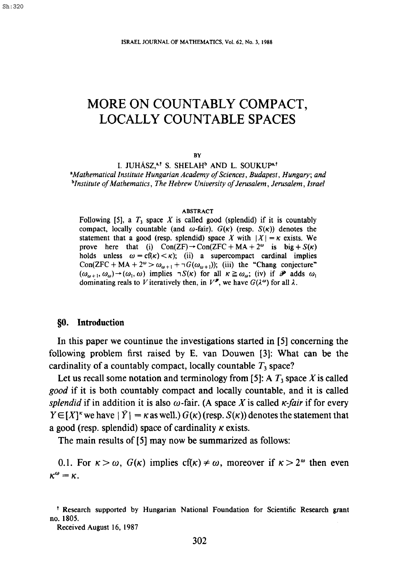# **MORE ON COUNTABLY COMPACT, LOCALLY COUNTABLE SPACES**

#### BY

I. JUHÁSZ,<sup>a,†</sup> S. SHELAH<sup>b</sup> AND L. SOUKUP<sup>a,†</sup> *"Mathematical Institute Hungarian Academy of Sciences, Budapest, Hungary; and blnstitute of Mathematics, The Hebrew University of Jerusalem, Jerusalem, Israel* 

#### ABSTRACT

Following [5], a  $T_3$  space X is called good (splendid) if it is countably compact, locally countable (and  $\omega$ -fair).  $G(\kappa)$  (resp.  $S(\kappa)$ ) denotes the statement that a good (resp. splendid) space X with  $|X| = \kappa$  exists. We prove here that (i)  $Con(ZF) \rightarrow Con(ZFC+MA+2^{\omega})$  is big +  $S(\kappa)$ holds unless  $\omega = cf(\kappa) < \kappa$ ; (ii) a supercompact cardinal implies Con(ZFC + MA +  $2^{\omega} > \omega_{\omega+1} + \neg G(\omega_{\omega+1})$ ); (iii) the "Chang conjecture"  $(\omega_{\omega+1}, \omega_{\omega}) \rightarrow (\omega_1, \omega)$  implies  $\neg S(\kappa)$  for all  $\kappa \ge \omega_{\omega}$ ; (iv) if  $\mathcal{P}$  adds  $\omega_1$ dominating reals to V iteratively then, in  $V^{\mathcal{P}}$ , we have  $G(\lambda^{\omega})$  for all  $\lambda$ .

### §0. **Introduction**

In this paper we countinue the investigations started in [5] concerning the following problem first raised by E. van Douwen [3]: What can be the cardinality of a countably compact, locally countable  $T_3$  space?

Let us recall some notation and terminology from [5]: A  $T_3$  space X is called *good* if it is both countahly compact and locally countable, and it is called *splendid* if in addition it is also  $\omega$ -fair. (A space X is called  $\kappa$ -fair if for every  $Y \in [X]^k$  we have  $|\overline{Y}| = \kappa$  as well.)  $G(\kappa)$  (resp.  $S(\kappa)$ ) denotes the statement that a good (resp. splendid) space of cardinality  $\kappa$  exists.

The main results of [5] may now be summarized as follows:

0.1. For  $\kappa > \omega$ ,  $G(\kappa)$  implies  $cf(\kappa) \neq \omega$ , moreover if  $\kappa > 2^{\omega}$  then even  $\kappa^{\omega} = \kappa$ .

Received August 16, 1987

<sup>&</sup>lt;sup>†</sup> Research supported by Hungarian National Foundation for Scientific Research grant no. 1805.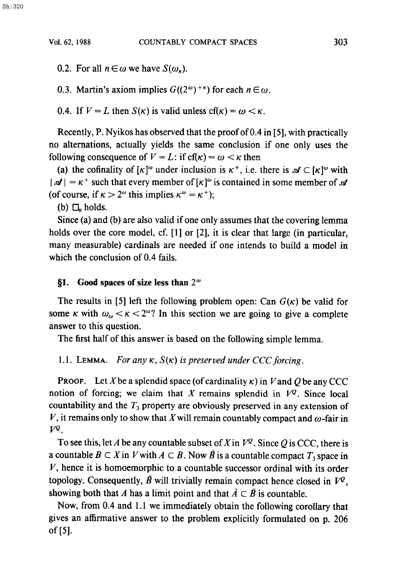0.2. For all  $n \in \omega$  we have  $S(\omega_n)$ .

0.3. Martin's axiom implies  $G((2^{\omega})^{+n})$  for each  $n \in \omega$ .

0.4. If  $V = L$  then  $S(\kappa)$  is valid unless  $cf(\kappa) = \omega < \kappa$ .

Recently, P. Nyikos has observed that the proof of 0.4 in [5], with practically no alternations, actually yields the same conclusion if one only uses the following consequence of  $V = L$ : if cf( $\kappa$ ) =  $\omega < \kappa$  then

(a) the cofinality of  $[\kappa]^\omega$  under inclusion is  $\kappa^+$ , i.e. there is  $\mathscr{A} \subset [\kappa]^\omega$  with  $|\mathcal{A}| = \kappa^+$  such that every member of  $[\kappa]^{\omega}$  is contained in some member of  $\mathcal{A}$ (of course, if  $\kappa > 2^{\omega}$  this implies  $\kappa^{\omega} = \kappa^{+}$ );

(b)  $\Box_r$  holds.

Since (a) and (b) are also valid if one only assumes that the covering lemma holds over the core model, cf. [1] or [2], it is clear that large (in particular, many measurable) cardinals are needed if one intends to build a model in which the conclusion of 0.4 fails.

## §1. Good spaces of size less than 2<sup> $\omega$ </sup>

The results in [5] left the following problem open: Can  $G(\kappa)$  be valid for some  $\kappa$  with  $\omega_{\omega} < \kappa < 2^{\omega}$ ? In this section we are going to give a complete answer to this question.

The first half of this answer is based on the following simple lemma.

1.1. LEMMA. *For any*  $\kappa$ *,*  $S(\kappa)$  *is preserved under CCC forcing.* 

**PROOF.** Let X be a splendid space (of cardinality  $\kappa$ ) in V and Q be any CCC notion of forcing; we claim that X remains splendid in  $V^Q$ . Since local countability and the  $T_3$  property are obviously preserved in any extension of V, it remains only to show that X will remain countably compact and  $\omega$ -fair in  $V^Q$ .

To see this, let A be any countable subset of X in  $V^{\mathcal{Q}}$ . Since Q is CCC, there is a countable  $B \subset X$  in V with  $A \subset B$ . Now  $\overline{B}$  is a countable compact  $T_3$  space in V, hence it is homoemorphic to a countable successor ordinal with its order topology. Consequently,  $\vec{B}$  will trivially remain compact hence closed in  $V^Q$ , showing both that A has a limit point and that  $\overline{A} \subset \overline{B}$  is countable.

Now, from 0.4 and 1.1 we immediately obtain the following corollary that gives an affirmative answer to the problem explicitly formulated on p. 206 of[5].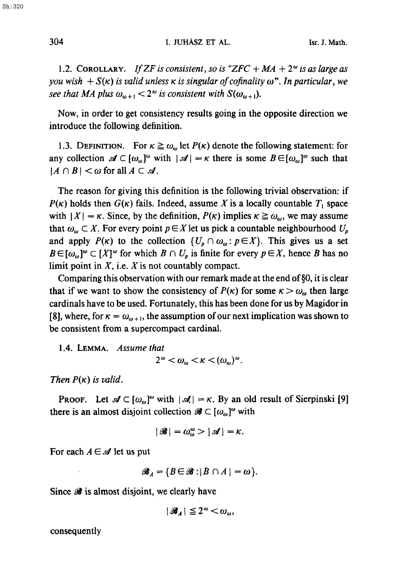1.2. COROLLARY. *If ZF is consistent, so is "ZFC + MA + 2<sup>* $\omega$ *</sup> is as large as you wish*  $+ S(\kappa)$  *is valid unless*  $\kappa$  *is singular of cofinality*  $\omega$ *". In particular, we see that MA plus*  $\omega_{m+1} < 2^{\omega}$  *is consistent with*  $S(\omega_{m+1})$ .

Now, in order to get consistency results going in the opposite direction we introduce the following definition.

1.3. DEFINITION. For  $\kappa \ge \omega_{\omega}$  let  $P(\kappa)$  denote the following statement: for any collection  $\mathscr{A} \subset [\omega_{\omega}]^{\omega}$  with  $|\mathscr{A}| = \kappa$  there is some  $B \in [\omega_{\omega}]^{\omega}$  such that  $|A \cap B| < \omega$  for all  $A \subset \mathcal{A}$ .

The reason for giving this definition is the following trivial observation: if  $P(\kappa)$  holds then  $G(\kappa)$  fails. Indeed, assume X is a locally countable  $T_1$  space with  $|X| = \kappa$ . Since, by the definition,  $P(\kappa)$  implies  $\kappa \ge \omega_{\omega}$ , we may assume that  $\omega_{\omega} \subset X$ . For every point  $p \in X$  let us pick a countable neighbourhood  $U_p$ and apply  $P(\kappa)$  to the collection  $\{U_p \cap \omega_\omega : p \in X\}$ . This gives us a set  $B \in [\omega_{\omega}]^{\omega} \subset [X]^{\omega}$  for which  $B \cap U_{p}$  is finite for every  $p \in X$ , hence B has no limit point in  $X$ , i.e.  $X$  is not countably compact.

Comparing this observation with our remark made at the end of§0, it is clear that if we want to show the consistency of  $P(\kappa)$  for some  $\kappa > \omega_{\omega}$  then large cardinals have to be used. Fortunately, this has been done for us by Magidor in [8], where, for  $\kappa = \omega_{\omega+1}$ , the assumption of our next implication was shown to be consistent from a supercompact cardinal.

1.4. LEMMA. *Assume that* 

$$
2^{\omega}<\omega_{\omega}<\kappa<(\omega_{\omega})^{\omega}.
$$

*Then*  $P(\kappa)$  *is valid.* 

**PROOF.** Let  $\mathcal{A} \subset [\omega_{\omega}]^{\omega}$  with  $|\mathcal{A}| = \kappa$ . By an old result of Sierpinski [9] there is an almost disjoint collection  $\mathscr{B} \subset [\omega_\omega]^{\omega}$  with

$$
|\mathscr{B}| = \omega_{\omega}^{\omega} > |\mathscr{A}| = \kappa.
$$

For each  $A \in \mathcal{A}$  let us put

 $\mathscr{B}_A = \{B \in \mathscr{B}: |B \cap A| = \omega\}.$ 

Since  $\mathscr B$  is almost disjoint, we clearly have

$$
|\mathcal{B}_A| \leq 2^{\omega} < \omega_{\omega},
$$

consequently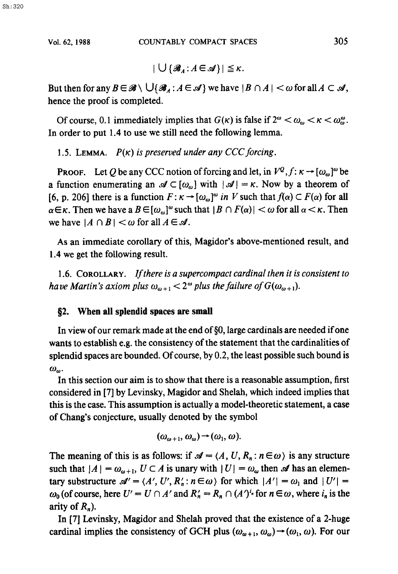$$
|\bigcup \{\mathscr{B}_A\colon A\in\mathscr{A}\}|\leq \kappa.
$$

But then for any  $B \in \mathscr{B} \setminus \bigcup \{\mathscr{B}_A : A \in \mathscr{A}\}\$ we have  $|B \cap A| < \omega$  for all  $A \subset \mathscr{A}$ , hence the proof is completed.

Of course, 0.1 immediately implies that  $G(\kappa)$  is false if  $2^{\omega} < \omega_{\omega} < \kappa < \omega_{\omega}^{\omega}$ . In order to put 1.4 to use we still need the following lemma.

1.5. LEMMA.  $P(\kappa)$  is preserved under any CCC forcing.

**PROOF.** Let Q be any CCC notion of forcing and let, in  $V^{\mathcal{Q}}$ ,  $f: \kappa \to [\omega_{\omega}]^{\omega}$  be a function enumerating an  $\mathscr{A} \subset [\omega_{\omega}]$  with  $|\mathscr{A}| = \kappa$ . Now by a theorem of [6, p. 206] there is a function  $F: \kappa \to [\omega_\omega]^{\omega}$  *in V* such that  $f(\alpha) \subset F(\alpha)$  for all  $\alpha \in \kappa$ . Then we have a  $B \in [\omega_\omega]^{\omega}$  such that  $|B \cap F(\alpha)| < \omega$  for all  $\alpha < \kappa$ . Then we have  $|A \cap B| < \omega$  for all  $A \in \mathcal{A}$ .

As an immediate corollary of this, Magidor's above-mentioned result, and 1.4 we get the following result.

1.6. COROLLARY. *If there is a supercompact cardinal then it is consistent to have Martin's axiom plus*  $\omega_{\omega + 1} < 2^{\omega}$  *plus the failure of G(* $\omega_{\omega + 1}$ *).* 

# **§2. When all splendid spaces are** small

In view of our remark made at the end of§0, large cardinals are needed if one wants to establish e.g. the consistency of the statement that the cardinalities of splendid spaces are bounded. Of course, by 0.2, the least possible such bound is  $\omega_{\omega}$ .

In this section our aim is to show that there is a reasonable assumption, first considered in [7] by Levinsky, Magidor and Shelah, which indeed implies that this is the case. This assumption is actually a model-theoretic statement, a case of Chang's conjecture, usually denoted by the symbol

$$
(\omega_{\omega+1},\omega_{\omega})\rightarrow(\omega_1,\omega).
$$

The meaning of this is as follows: if  $\mathcal{A} = \langle A, U, R_n : n \in \omega \rangle$  is any structure such that  $|A| = \omega_{\omega+1}$ ,  $U \subset A$  is unary with  $|U| = \omega_{\omega}$  then  $\mathscr A$  has an elementary substructure  $\mathcal{A}' = \langle A', U', R'_n : n \in \omega \rangle$  for which  $|A'| = \omega_1$  and  $|U'| =$  $\omega_0$  (of course, here  $U' = U \cap A'$  and  $R'_n = R_n \cap (A')^{i_n}$  for  $n \in \omega$ , where  $i_n$  is the arity of  $R_n$ ).

In [7] Levinsky, Magidor and Shelah proved that the existence of a 2-huge cardinal implies the consistency of GCH plus  $(\omega_{\omega+1}, \omega_{\omega}) \rightarrow (\omega_1, \omega)$ . For our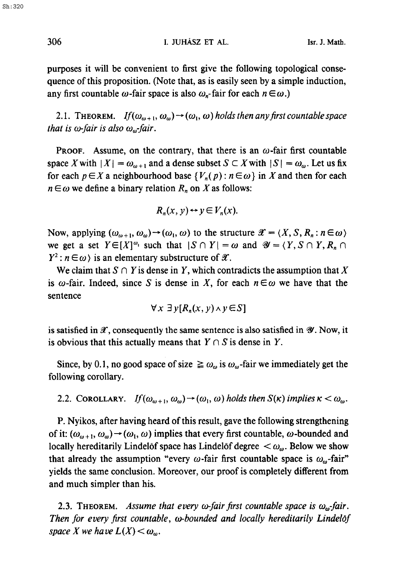306 I. JUHÁSZ ET AL. Isr. J. Math.

purposes it will be convenient to first give the following topological consequence of this proposition. (Note that, as is easily seen by a simple induction, any first countable  $\omega$ -fair space is also  $\omega_n$ -fair for each  $n \in \omega$ .)

**2.1. THEOREM.** *If*( $\omega_{\omega+1}, \omega_{\omega}$ )  $\rightarrow$  ( $\omega_1, \omega$ ) *holds then any first countable space that is*  $\omega$ *-fair is also*  $\omega_{\omega}$ *-fair.* 

**PROOF.** Assume, on the contrary, that there is an  $\omega$ -fair first countable space X with  $|X| = \omega_{\omega+1}$  and a dense subset  $S \subset X$  with  $|S| = \omega_{\omega}$ . Let us fix for each  $p \in X$  a neighbourhood base  $\{V_n(p) : n \in \omega\}$  in X and then for each  $n \in \omega$  we define a binary relation  $R_n$  on X as follows:

$$
R_n(x, y) \leftrightarrow y \in V_n(x).
$$

Now, applying  $(\omega_{\omega+1}, \omega_{\omega}) \rightarrow (\omega_1, \omega)$  to the structure  $\mathscr{X} = \langle X, S, R_n : n \in \omega \rangle$ we get a set  $Y \in [X]^{\omega_1}$  such that  $|S \cap Y| = \omega$  and  $\mathscr{Y} = \langle Y, S \cap Y, R_n \cap Y \rangle$  $Y^2$ :  $n \in \omega$  is an elementary substructure of  $\mathscr{X}$ .

We claim that  $S \cap Y$  is dense in Y, which contradicts the assumption that X is  $\omega$ -fair. Indeed, since S is dense in X, for each  $n \in \omega$  we have that the sentence

$$
\forall x \; \exists \; y [R_n(x, y) \land y \in S]
$$

is satisfied in  $\mathscr X$ , consequently the same sentence is also satisfied in  $\mathscr Y$ . Now, it is obvious that this actually means that  $Y \cap S$  is dense in Y.

Since, by 0.1, no good space of size  $\geq \omega_{\omega}$  is  $\omega_{\omega}$ -fair we immediately get the following corollary.

2.2. COROLLARY. If  $(\omega_{\omega+1}, \omega_{\omega}) \rightarrow (\omega_1, \omega)$  *holds then*  $S(\kappa)$  *implies*  $\kappa < \omega_{\omega}$ .

P. Nyikos, after having heard of this result, gave the following strengthening of it:  $(\omega_{\omega+1}, \omega_{\omega}) \rightarrow (\omega_1, \omega)$  implies that every first countable,  $\omega$ -bounded and locally hereditarily Lindelöf space has Lindelöf degree  $\langle \omega_{\omega}$ . Below we show that already the assumption "every  $\omega$ -fair first countable space is  $\omega_{\omega}$ -fair" yields the same conclusion. Moreover, our proof is completely different from and much simpler than his.

2.3. THEOREM. *Assume that every*  $\omega$ *-fair first countable space is*  $\omega_{\omega}$ -*fair. Then for every first countable, co-bounded and locally hereditarily Lindelof space X we have*  $L(X) < \omega_{\omega}$ .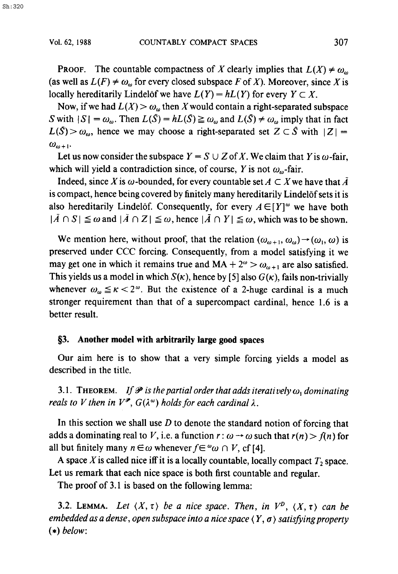**PROOF.** The countable compactness of X clearly implies that  $L(X) \neq \omega_0$ (as well as  $L(F) \neq \omega_{\omega}$  for every closed subspace F of X). Moreover, since X is locally hereditarily Lindelof we have  $L(Y) = hL(Y)$  for every  $Y \subset X$ .

Now, if we had  $L(X) > \omega_{\omega}$  then X would contain a right-separated subspace S with  $|S| = \omega_{\omega}$ . Then  $L(\bar{S}) = hL(\bar{S}) \ge \omega_{\omega}$  and  $L(\bar{S}) \ne \omega_{\omega}$  imply that in fact  $L(S) > \omega_{\omega}$ , hence we may choose a right-separated set  $Z \subset \overline{S}$  with  $|Z| =$  $\omega_{\omega+1}$ .

Let us now consider the subspace  $Y = S \cup Z$  of X. We claim that Y is  $\omega$ -fair, which will yield a contradiction since, of course, Y is not  $\omega_{\omega}$ -fair.

Indeed, since X is  $\omega$ -bounded, for every countable set  $A \subset X$  we have that  $\overline{A}$ is compact, hence being covered by finitely many hereditarily Lindel of sets it is also hereditarily Lindelöf. Consequently, for every  $A \in [Y]^\omega$  we have both  $|\bar{A} \cap S| \le \omega$  and  $|\bar{A} \cap Z| \le \omega$ , hence  $|\bar{A} \cap Y| \le \omega$ , which was to be shown.

We mention here, without proof, that the relation  $(\omega_{\omega+1}, \omega_{\omega}) \rightarrow (\omega_1, \omega)$  is preserved under CCC forcing. Consequently, from a model satisfying it we may get one in which it remains true and  $MA + 2^{\omega} > \omega_{\omega+1}$  are also satisfied. This yields us a model in which  $S(\kappa)$ , hence by [5] also  $G(\kappa)$ , fails non-trivially whenever  $\omega_{\omega} \le \kappa < 2^{\omega}$ . But the existence of a 2-huge cardinal is a much stronger requirement than that of a supercompact cardinal, hence 1.6 is a better result.

### **§3. Another model with arbitrarily large good spaces**

Our aim here is to show that a very simple forcing yields a model as described in the title.

3.1. THEOREM. *If*  $\mathcal{P}$  *is the partial order that adds iteratively*  $\omega_1$  *dominating reals to V then in*  $V^{\mathcal{P}}$ *,*  $G(\lambda^{\omega})$  *holds for each cardinal*  $\lambda$ *.* 

In this section we shall use  $D$  to denote the standard notion of forcing that adds a dominating real to V, i.e. a function  $r : \omega \rightarrow \omega$  such that  $r(n) > f(n)$  for all but finitely many  $n \in \omega$  whenever  $f \in {}^{\omega} \omega \cap V$ , cf [4].

A space X is called nice iff it is a locally countable, locally compact  $T_2$  space. Let us remark that each nice space is both first countable and regular.

The proof of 3.1 is based on the following lemma:

3.2. LEMMA. Let  $\langle X, \tau \rangle$  be a nice space. Then, in  $V^D$ ,  $\langle X, \tau \rangle$  can be *embedded as a dense, open subspace into a nice space*  $\langle Y, \sigma \rangle$  *satisfying property (.) below:*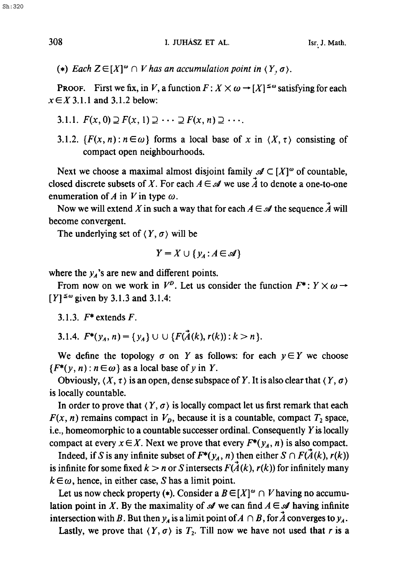308 I. JUHÁSZ ET AL. Isr. J. Math.

(\*) Each  $Z \in [X]^\omega \cap V$  has an accumulation point in  $\langle Y, \sigma \rangle$ .

**PROOF.** First we fix, in V, a function  $F: X \times \omega \rightarrow [X]^{\leq \omega}$  satisfying for each  $x \in X$  3.1.1 and 3.1.2 below:

- 3.1.1.  $F(x, 0) \supset F(x, 1) \supset \cdots \supset F(x, n) \supset \cdots$
- 3.1.2.  $\{F(x, n) : n \in \omega\}$  forms a local base of x in  $\langle X, \tau \rangle$  consisting of compact open neighbourhoods.

Next we choose a maximal almost disjoint family  $\mathscr{A} \subset [X]^\omega$  of countable, closed discrete subsets of X. For each  $A \in \mathcal{A}$  we use  $\vec{A}$  to denote a one-to-one enumeration of A in V in type  $\omega$ .

Now we will extend X in such a way that for each  $A \in \mathcal{A}$  the sequence  $\vec{A}$  will become convergent.

The underlying set of  $\langle Y, \sigma \rangle$  will be

$$
Y = X \cup \{y_A : A \in \mathcal{A}\}\
$$

where the  $y_A$ 's are new and different points.

From now on we work in  $V^b$ . Let us consider the function  $F^*: Y \times \omega \rightarrow$  $[Y]^{\leq \omega}$  given by 3.1.3 and 3.1.4:

3.1.3.  $F^*$  extends  $F$ .

3.1.4.  $F^*(y_4, n) = \{y_4\} \cup \cup \{F(\vec{A}(k), r(k)) : k > n\}.$ 

We define the topology  $\sigma$  on Y as follows: for each  $y \in Y$  we choose  ${F^*(y, n) : n \in \omega}$  as a local base of y in Y.

Obviously,  $(X, \tau)$  is an open, dense subspace of Y. It is also clear that  $(Y, \sigma)$ is locally countable.

In order to prove that  $(Y, \sigma)$  is locally compact let us first remark that each  $F(x, n)$  remains compact in  $V<sub>p</sub>$ , because it is a countable, compact  $T<sub>2</sub>$  space, i.e., homeomorphic to a countable successer ordinal. Consequently  $Y$  is locally compact at every  $x \in X$ . Next we prove that every  $F^*(y_A, n)$  is also compact.

Indeed, if S is any infinite subset of  $F^*(y_A, n)$  then either  $S \cap F(A(k), r(k))$ is infinite for some fixed  $k > n$  or S intersects  $F(\vec{A}(k), r(k))$  for infinitely many  $k \in \omega$ , hence, in either case, S has a limit point.

Let us now check property (\*). Consider a  $B \in [X]^{\omega} \cap V$  having no accumulation point in X. By the maximality of  $\mathcal A$  we can find  $A \in \mathcal A$  having infinite intersection with B. But then  $y_A$  is a limit point of  $A \cap B$ , for  $\overline{A}$  converges to  $y_A$ .

Lastly, we prove that  $(Y, \sigma)$  is  $T_2$ . Till now we have not used that r is a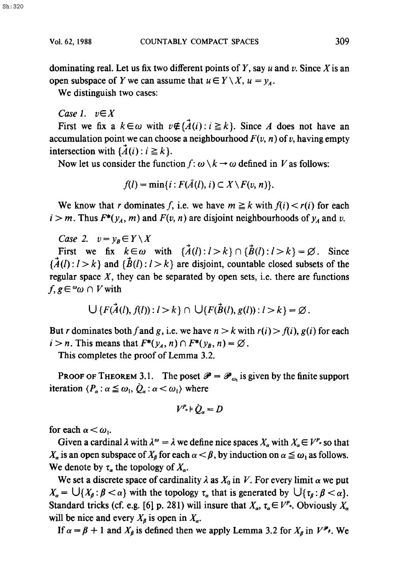dominating real. Let us fix two different points of  $Y$ , say  $u$  and  $v$ . Since  $X$  is an open subspace of Y we can assume that  $u \in Y \setminus X$ ,  $u = y<sub>A</sub>$ .

We distinguish two cases:

*Case l. vEX* 

First we fix a  $k \in \omega$  with  $v \notin {\mathcal{A}}(i): i \geq k$ . Since A does not have an accumulation point we can choose a neighbourhood  $F(v, n)$  of v, having empty intersection with  $\{\vec{A}(i): i \geq k\}.$ 

Now let us consider the function  $f: \omega \setminus k \to \omega$  defined in V as follows:

$$
f(l) = \min\{i : F(\bar{A}(l), i) \subset X \setminus F(v, n)\}.
$$

We know that r dominates f, i.e. we have  $m \ge k$  with  $f(i) < r(i)$  for each  $i > m$ . Thus  $F^*(y_A, m)$  and  $F(v, n)$  are disjoint neighbourhoods of  $y_A$  and v.

*Case 2.*  $v = v_R \in Y \setminus X$ 

First we fix  $k \in \omega$  with  $\{\vec{A}(l): l > k\} \cap {\{\vec{B}(l): l > k\}} = \emptyset$ . Since  ${\rm \{A(l): l > k\}}$  and  ${\rm \{B(l): l > k\}}$  are disjoint, countable closed subsets of the regular space  $X$ , they can be separated by open sets, i.e. there are functions  $f, g \in \omega_0 \cap V$  with

$$
\bigcup \{F(\vec{A}(l),f(l)): l > k\} \cap \bigcup \{F(\vec{B}(l),g(l)): l > k\} = \varnothing.
$$

But *r* dominates both f and g, i.e. we have  $n > k$  with  $r(i) > f(i)$ ,  $g(i)$  for each  $i > n$ . This means that  $F^*(y_A, n) \cap F^*(y_B, n) = \emptyset$ .

This completes the proof of Lemma 3.2.

**PROOF OF THEOREM 3.1.** The poset  $\mathcal{P} = \mathcal{P}_{\omega}$  is given by the finite support iteration  $\langle P_{\alpha} : \alpha \leq \omega_1, \dot{Q}_{\alpha} : \alpha < \omega_1 \rangle$  where

$$
V^{P_a} \models \dot{Q}_a = D
$$

for each  $\alpha < \omega_1$ .

Given a cardinal  $\lambda$  with  $\lambda^{\omega} = \lambda$  we define nice spaces  $X_{\alpha}$  with  $X_{\alpha} \in V^{p_{\alpha}}$  so that  $X_{\alpha}$  is an open subspace of  $X_{\beta}$  for each  $\alpha < \beta$ , by induction on  $\alpha \leq \omega_1$  as follows. We denote by  $\tau_a$  the topology of  $X_a$ .

We set a discrete space of cardinality  $\lambda$  as  $X_0$  in V. For every limit  $\alpha$  we put  $X_{\alpha} = \bigcup \{X_{\beta} : \beta < \alpha\}$  with the topology  $\tau_{\alpha}$  that is generated by  $\bigcup \{\tau_{\beta} : \beta < \alpha\}.$ Standard tricks (cf. e.g. [6] p. 281) will insure that  $X_{\alpha}$ ,  $\tau_{\alpha} \in V^{p_{\alpha}}$ . Obviously  $X_{\alpha}$ will be nice and every  $X_{\beta}$  is open in  $X_{\alpha}$ .

If  $\alpha = \beta + 1$  and  $X_{\beta}$  is defined then we apply Lemma 3.2 for  $X_{\beta}$  in  $V^{\mathcal{P}_{\beta}}$ . We